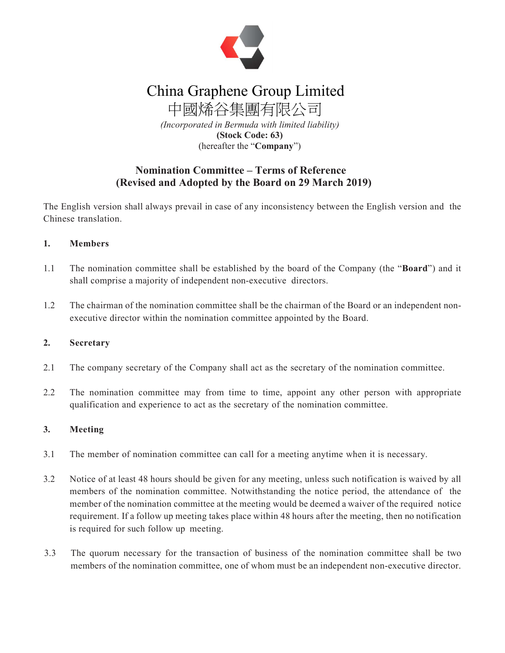

# China Graphene Group Limited

中國烯谷集團有限公司 (Incorporated in Bermuda with limited liability) (Stock Code: 63) (hereafter the "Company")

# Nomination Committee – Terms of Reference (Revised and Adopted by the Board on 29 March 2019)

The English version shall always prevail in case of any inconsistency between the English version and the Chinese translation.

#### 1. Members

- 1.1 The nomination committee shall be established by the board of the Company (the "**Board**") and it shall comprise a majority of independent non-executive directors.
- 1.2 The chairman of the nomination committee shall be the chairman of the Board or an independent nonexecutive director within the nomination committee appointed by the Board.

#### 2. Secretary

- 2.1 The company secretary of the Company shall act as the secretary of the nomination committee.
- 2.2 The nomination committee may from time to time, appoint any other person with appropriate qualification and experience to act as the secretary of the nomination committee.

#### 3. Meeting

- 3.1 The member of nomination committee can call for a meeting anytime when it is necessary.
- 3.2 Notice of at least 48 hours should be given for any meeting, unless such notification is waived by all members of the nomination committee. Notwithstanding the notice period, the attendance of the member of the nomination committee at the meeting would be deemed a waiver of the required notice requirement. If a follow up meeting takes place within 48 hours after the meeting, then no notification is required for such follow up meeting.
- 3.3 The quorum necessary for the transaction of business of the nomination committee shall be two members of the nomination committee, one of whom must be an independent non-executive director.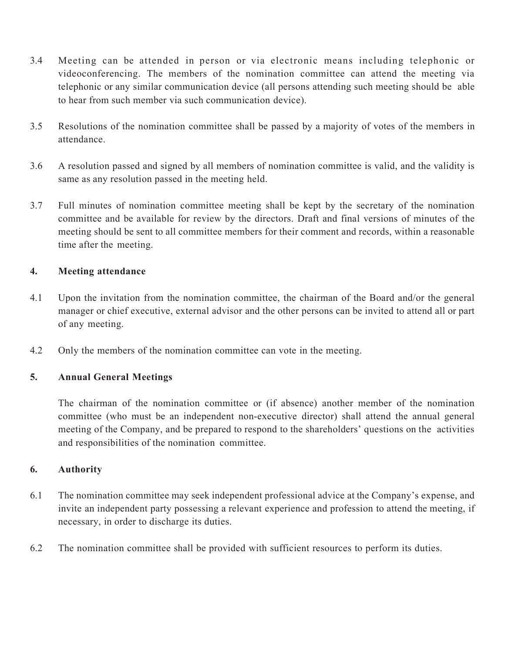- 3.4 Meeting can be attended in person or via electronic means including telephonic or videoconferencing. The members of the nomination committee can attend the meeting via telephonic or any similar communication device (all persons attending such meeting should be able to hear from such member via such communication device).
- 3.5 Resolutions of the nomination committee shall be passed by a majority of votes of the members in attendance.
- 3.6 A resolution passed and signed by all members of nomination committee is valid, and the validity is same as any resolution passed in the meeting held.
- 3.7 Full minutes of nomination committee meeting shall be kept by the secretary of the nomination committee and be available for review by the directors. Draft and final versions of minutes of the meeting should be sent to all committee members for their comment and records, within a reasonable time after the meeting.

## 4. Meeting attendance

- 4.1 Upon the invitation from the nomination committee, the chairman of the Board and/or the general manager or chief executive, external advisor and the other persons can be invited to attend all or part of any meeting.
- 4.2 Only the members of the nomination committee can vote in the meeting.

## 5. Annual General Meetings

The chairman of the nomination committee or (if absence) another member of the nomination committee (who must be an independent non-executive director) shall attend the annual general meeting of the Company, and be prepared to respond to the shareholders' questions on the activities and responsibilities of the nomination committee.

## 6. Authority

- 6.1 The nomination committee may seek independent professional advice at the Company's expense, and invite an independent party possessing a relevant experience and profession to attend the meeting, if necessary, in order to discharge its duties.
- 6.2 The nomination committee shall be provided with sufficient resources to perform its duties.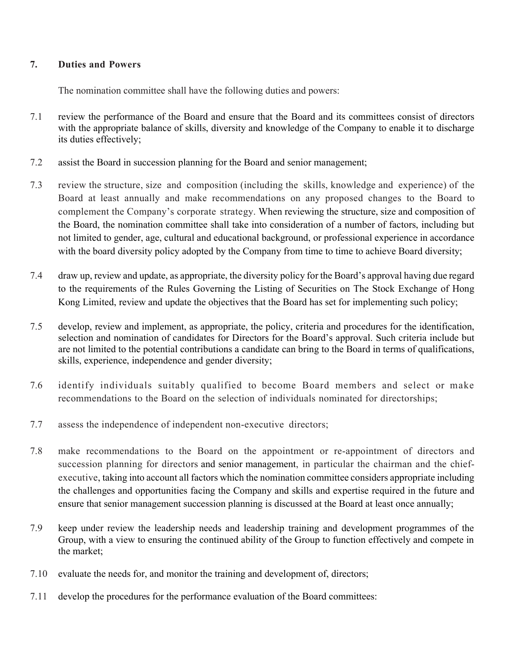#### 7. Duties and Powers

The nomination committee shall have the following duties and powers:

- 7.1 review the performance of the Board and ensure that the Board and its committees consist of directors with the appropriate balance of skills, diversity and knowledge of the Company to enable it to discharge its duties effectively;
- 7.2 assist the Board in succession planning for the Board and senior management;
- 7.3 review the structure, size and composition (including the skills, knowledge and experience) of the Board at least annually and make recommendations on any proposed changes to the Board to complement the Company's corporate strategy. When reviewing the structure, size and composition of the Board, the nomination committee shall take into consideration of a number of factors, including but not limited to gender, age, cultural and educational background, or professional experience in accordance with the board diversity policy adopted by the Company from time to time to achieve Board diversity;
- 7.4 draw up, review and update, as appropriate, the diversity policy for the Board's approval having due regard to the requirements of the Rules Governing the Listing of Securities on The Stock Exchange of Hong Kong Limited, review and update the objectives that the Board has set for implementing such policy;
- 7.5 develop, review and implement, as appropriate, the policy, criteria and procedures for the identification, selection and nomination of candidates for Directors for the Board's approval. Such criteria include but are not limited to the potential contributions a candidate can bring to the Board in terms of qualifications, skills, experience, independence and gender diversity;
- 7.6 identify individuals suitably qualified to become Board members and select or make recommendations to the Board on the selection of individuals nominated for directorships;
- 7.7 assess the independence of independent non-executive directors;
- 7.8 make recommendations to the Board on the appointment or re-appointment of directors and succession planning for directors and senior management, in particular the chairman and the chiefexecutive, taking into account all factors which the nomination committee considers appropriate including the challenges and opportunities facing the Company and skills and expertise required in the future and ensure that senior management succession planning is discussed at the Board at least once annually;
- 7.9 keep under review the leadership needs and leadership training and development programmes of the Group, with a view to ensuring the continued ability of the Group to function effectively and compete in the market;
- 7.10 evaluate the needs for, and monitor the training and development of, directors;
- 7.11 develop the procedures for the performance evaluation of the Board committees: